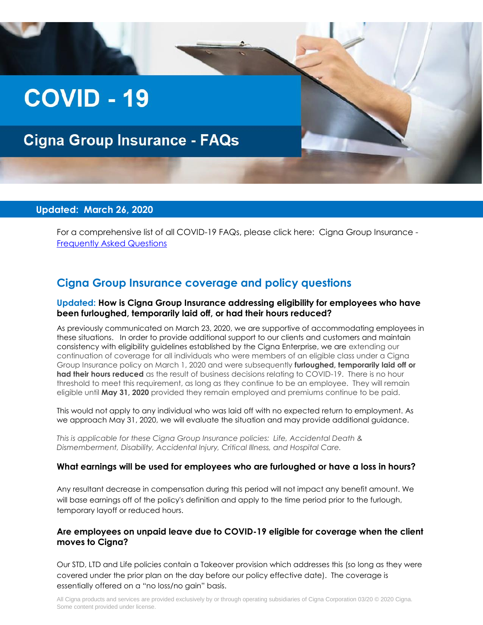# **COVID - 19**

# **Cigna Group Insurance - FAQs**

#### **Updated: March 26, 2020**

For a comprehensive list of all COVID-19 FAQs, please click here: Cigna Group Insurance - [Frequently Asked Questions](http://images.connecting.cigna.com/Web/CIGNACorporation/%7Bb469a20e-d6e0-45f6-861c-88e7b26d69b9%7D_FAQ_COVID-19.pdf)

### **Cigna Group Insurance coverage and policy questions**

#### **Updated: How is Cigna Group Insurance addressing eligibility for employees who have been furloughed, temporarily laid off, or had their hours reduced?**

As previously communicated on March 23, 2020, we are supportive of accommodating employees in these situations. In order to provide additional support to our clients and customers and maintain consistency with eligibility guidelines established by the Cigna Enterprise, we are extending our continuation of coverage for all individuals who were members of an eligible class under a Cigna Group Insurance policy on March 1, 2020 and were subsequently **furloughed, temporarily laid off or had their hours reduced** as the result of business decisions relating to COVID-19. There is no hour threshold to meet this requirement, as long as they continue to be an employee. They will remain eligible until **May 31, 2020** provided they remain employed and premiums continue to be paid.

This would not apply to any individual who was laid off with no expected return to employment. As we approach May 31, 2020, we will evaluate the situation and may provide additional guidance.

*This is applicable for these Cigna Group Insurance policies: Life, Accidental Death & Dismemberment, Disability, Accidental Injury, Critical Illness, and Hospital Care.* 

#### **What earnings will be used for employees who are furloughed or have a loss in hours?**

Any resultant decrease in compensation during this period will not impact any benefit amount. We will base earnings off of the policy's definition and apply to the time period prior to the furlough, temporary layoff or reduced hours.

#### **Are employees on unpaid leave due to COVID-19 eligible for coverage when the client moves to Cigna?**

Our STD, LTD and Life policies contain a Takeover provision which addresses this (so long as they were covered under the prior plan on the day before our policy effective date). The coverage is essentially offered on a "no loss/no gain" basis.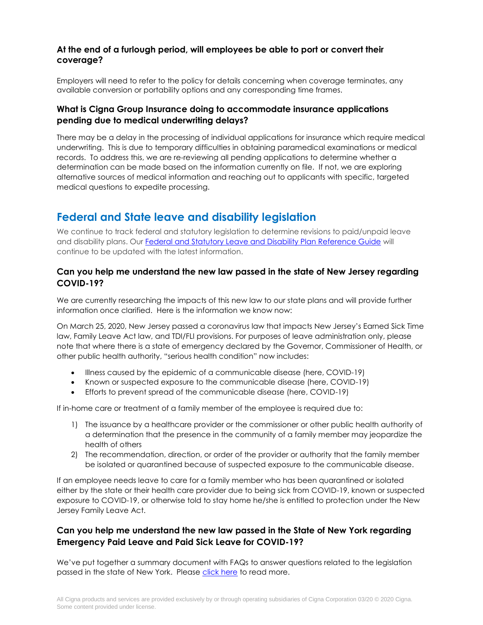#### **At the end of a furlough period, will employees be able to port or convert their coverage?**

Employers will need to refer to the policy for details concerning when coverage terminates, any available conversion or portability options and any corresponding time frames.

#### **What is Cigna Group Insurance doing to accommodate insurance applications pending due to medical underwriting delays?**

There may be a delay in the processing of individual applications for insurance which require medical underwriting. This is due to temporary difficulties in obtaining paramedical examinations or medical records. To address this, we are re-reviewing all pending applications to determine whether a determination can be made based on the information currently on file. If not, we are exploring alternative sources of medical information and reaching out to applicants with specific, targeted medical questions to expedite processing.

## **Federal and State leave and disability legislation**

We continue to track federal and statutory legislation to determine revisions to paid/unpaid leave and disability plans. Our [Federal and Statutory Leave and Disability Plan Reference Guide](http://images.connecting.cigna.com/Web/CIGNACorporation/%7bc21bb593-5cae-48a0-a718-7d70321926dc%7d_COVID19_State_Federal_Guide_03192020_FINALr2.pdf) will continue to be updated with the latest information.

#### **Can you help me understand the new law passed in the state of New Jersey regarding COVID-19?**

We are currently researching the impacts of this new law to our state plans and will provide further information once clarified. Here is the information we know now:

On March 25, 2020, New Jersey passed a coronavirus law that impacts New Jersey's Earned Sick Time law, Family Leave Act law, and TDI/FLI provisions. For purposes of leave administration only, please note that where there is a state of emergency declared by the Governor, Commissioner of Health, or other public health authority, "serious health condition" now includes:

- Illness caused by the epidemic of a communicable disease (here, COVID-19)
- Known or suspected exposure to the communicable disease (here, COVID-19)
- Efforts to prevent spread of the communicable disease (here, COVID-19)

If in-home care or treatment of a family member of the employee is required due to:

- 1) The issuance by a healthcare provider or the commissioner or other public health authority of a determination that the presence in the community of a family member may jeopardize the health of others
- 2) The recommendation, direction, or order of the provider or authority that the family member be isolated or quarantined because of suspected exposure to the communicable disease.

If an employee needs leave to care for a family member who has been quarantined or isolated either by the state or their health care provider due to being sick from COVID-19, known or suspected exposure to COVID-19, or otherwise told to stay home he/she is entitled to protection under the New Jersey Family Leave Act.

#### **Can you help me understand the new law passed in the State of New York regarding Emergency Paid Leave and Paid Sick Leave for COVID-19?**

We've put together a summary document with FAQs to answer questions related to the legislation passed in the state of New York. Please [click here](http://images.connecting.cigna.com/Web/CIGNACorporation/%7b41c85f16-43b1-4fc0-9a14-9c8116c5cd5d%7d_CGI_FAQs_New_York_State_Emergency_Paid_Leave_and_Paid_Sick_Leave.pdf) to read more.